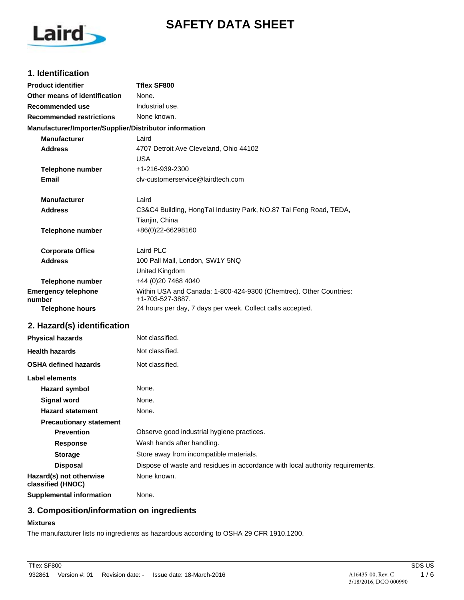# **SAFETY DATA SHEET**



## **1. Identification**

| <b>Product identifier</b>                              | <b>Tflex SF800</b>                                                                     |  |
|--------------------------------------------------------|----------------------------------------------------------------------------------------|--|
| Other means of identification                          | None.                                                                                  |  |
| Recommended use                                        | Industrial use.                                                                        |  |
| <b>Recommended restrictions</b>                        | None known.                                                                            |  |
| Manufacturer/Importer/Supplier/Distributor information |                                                                                        |  |
| <b>Manufacturer</b>                                    | Laird                                                                                  |  |
| <b>Address</b>                                         | 4707 Detroit Ave Cleveland, Ohio 44102                                                 |  |
|                                                        | <b>USA</b>                                                                             |  |
| <b>Telephone number</b>                                | +1-216-939-2300                                                                        |  |
| Email                                                  | cly-customerservice@lairdtech.com                                                      |  |
| <b>Manufacturer</b>                                    | Laird                                                                                  |  |
| <b>Address</b>                                         | C3&C4 Building, HongTai Industry Park, NO.87 Tai Feng Road, TEDA,                      |  |
|                                                        | Tianjin, China                                                                         |  |
| <b>Telephone number</b>                                | +86(0)22-66298160                                                                      |  |
| <b>Corporate Office</b>                                | Laird PLC                                                                              |  |
| <b>Address</b>                                         | 100 Pall Mall, London, SW1Y 5NQ                                                        |  |
|                                                        | United Kingdom                                                                         |  |
| <b>Telephone number</b>                                | +44 (0)20 7468 4040                                                                    |  |
| <b>Emergency telephone</b><br>number                   | Within USA and Canada: 1-800-424-9300 (Chemtrec). Other Countries:<br>+1-703-527-3887. |  |
| <b>Telephone hours</b>                                 | 24 hours per day, 7 days per week. Collect calls accepted.                             |  |
| 2. Hazard(s) identification                            |                                                                                        |  |
| <b>Physical hazards</b>                                | Not classified.                                                                        |  |
| <b>Health hazards</b>                                  | Not classified.                                                                        |  |
| <b>OSHA defined hazards</b>                            | Not classified.                                                                        |  |
| Label elements                                         |                                                                                        |  |
| <b>Hazard symbol</b>                                   | None.                                                                                  |  |
| <b>Signal word</b>                                     | None.                                                                                  |  |
| <b>Hazard statement</b>                                | None.                                                                                  |  |
| <b>Precautionary statement</b>                         |                                                                                        |  |
| <b>Prevention</b>                                      | Observe good industrial hygiene practices.                                             |  |
| <b>Response</b>                                        | Wash hands after handling.                                                             |  |
| <b>Storage</b>                                         | Store away from incompatible materials.                                                |  |
| <b>Disposal</b>                                        | Dispose of waste and residues in accordance with local authority requirements.         |  |
| Hazard(s) not otherwise<br>classified (HNOC)           | None known.                                                                            |  |
| <b>Supplemental information</b>                        | None.                                                                                  |  |

# **3. Composition/information on ingredients**

#### **Mixtures**

The manufacturer lists no ingredients as hazardous according to OSHA 29 CFR 1910.1200.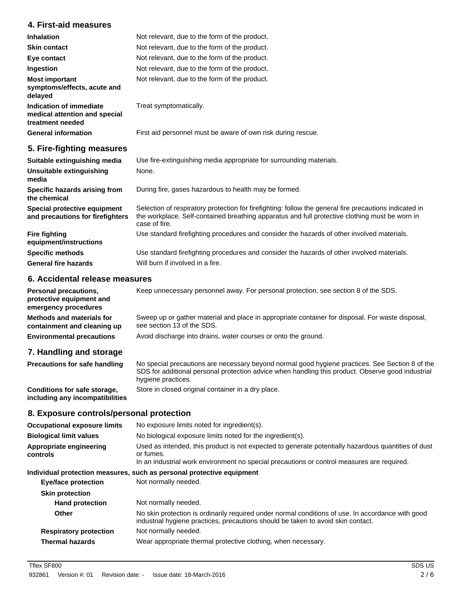## **4. First-aid measures**

| <b>Inhalation</b>                                                            | Not relevant, due to the form of the product.                                                                                                                                                                             |
|------------------------------------------------------------------------------|---------------------------------------------------------------------------------------------------------------------------------------------------------------------------------------------------------------------------|
| <b>Skin contact</b>                                                          | Not relevant, due to the form of the product.                                                                                                                                                                             |
| Eye contact                                                                  | Not relevant, due to the form of the product.                                                                                                                                                                             |
| Ingestion                                                                    | Not relevant, due to the form of the product.                                                                                                                                                                             |
| <b>Most important</b><br>symptoms/effects, acute and<br>delayed              | Not relevant, due to the form of the product.                                                                                                                                                                             |
| Indication of immediate<br>medical attention and special<br>treatment needed | Treat symptomatically.                                                                                                                                                                                                    |
| <b>General information</b>                                                   | First aid personnel must be aware of own risk during rescue.                                                                                                                                                              |
| 5. Fire-fighting measures                                                    |                                                                                                                                                                                                                           |
| Suitable extinguishing media                                                 | Use fire-extinguishing media appropriate for surrounding materials.                                                                                                                                                       |
| Unsuitable extinguishing<br>media                                            | None.                                                                                                                                                                                                                     |
| Specific hazards arising from<br>the chemical                                | During fire, gases hazardous to health may be formed.                                                                                                                                                                     |
| Special protective equipment<br>and precautions for firefighters             | Selection of respiratory protection for firefighting: follow the general fire precautions indicated in<br>the workplace. Self-contained breathing apparatus and full protective clothing must be worn in<br>case of fire. |
| <b>Fire fighting</b><br>equipment/instructions                               | Use standard firefighting procedures and consider the hazards of other involved materials.                                                                                                                                |
| <b>Specific methods</b>                                                      | Use standard firefighting procedures and consider the hazards of other involved materials.                                                                                                                                |

#### **6. Accidental release measures**

**General fire hazards** Will burn if involved in a fire.

**Personal precautions,** Keep unnecessary personnel away. For personal protection, see section 8 of the SDS. **protective equipment and emergency procedures** Sweep up or gather material and place in appropriate container for disposal. For waste disposal, see section 13 of the SDS. **Methods and materials for containment and cleaning up Environmental precautions** Avoid discharge into drains, water courses or onto the ground.

## **7. Handling and storage**

| <b>Precautions for safe handling</b>                            | No special precautions are necessary beyond normal good hygiene practices. See Section 8 of the<br>SDS for additional personal protection advice when handling this product. Observe good industrial<br>hygiene practices. |
|-----------------------------------------------------------------|----------------------------------------------------------------------------------------------------------------------------------------------------------------------------------------------------------------------------|
| Conditions for safe storage,<br>including any incompatibilities | Store in closed original container in a dry place.                                                                                                                                                                         |

#### **8. Exposure controls/personal protection**

| <b>Occupational exposure limits</b> | No exposure limits noted for ingredient(s).                                                                                                                                                                    |  |
|-------------------------------------|----------------------------------------------------------------------------------------------------------------------------------------------------------------------------------------------------------------|--|
| <b>Biological limit values</b>      | No biological exposure limits noted for the ingredient(s).                                                                                                                                                     |  |
| Appropriate engineering<br>controls | Used as intended, this product is not expected to generate potentially hazardous quantities of dust<br>or fumes.<br>In an industrial work environment no special precautions or control measures are required. |  |
|                                     | Individual protection measures, such as personal protective equipment                                                                                                                                          |  |
| <b>Eye/face protection</b>          | Not normally needed.                                                                                                                                                                                           |  |
| <b>Skin protection</b>              |                                                                                                                                                                                                                |  |
| <b>Hand protection</b>              | Not normally needed.                                                                                                                                                                                           |  |
| <b>Other</b>                        | No skin protection is ordinarily required under normal conditions of use. In accordance with good<br>industrial hygiene practices, precautions should be taken to avoid skin contact.                          |  |
| <b>Respiratory protection</b>       | Not normally needed.                                                                                                                                                                                           |  |
| <b>Thermal hazards</b>              | Wear appropriate thermal protective clothing, when necessary.                                                                                                                                                  |  |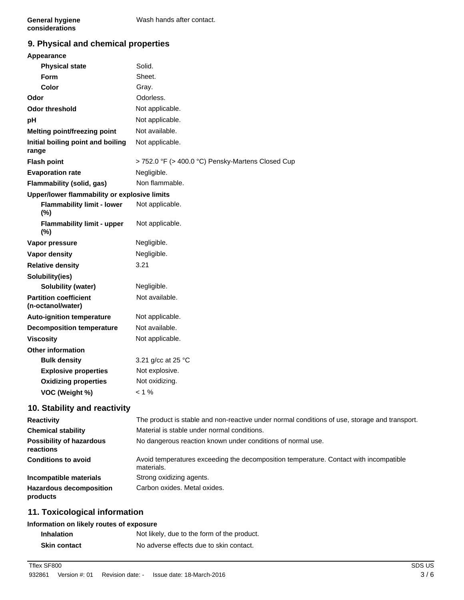# **9. Physical and chemical properties**

| Appearance                                        |                                                                                |
|---------------------------------------------------|--------------------------------------------------------------------------------|
| <b>Physical state</b>                             | Solid.                                                                         |
| <b>Form</b>                                       | Sheet.                                                                         |
| Color                                             | Gray.                                                                          |
| Odor                                              | Odorless.                                                                      |
| <b>Odor threshold</b>                             | Not applicable.                                                                |
| рH                                                | Not applicable.                                                                |
| Melting point/freezing point                      | Not available.                                                                 |
| Initial boiling point and boiling<br>range        | Not applicable.                                                                |
| <b>Flash point</b>                                | > 752.0 °F (> 400.0 °C) Pensky-Martens Closed Cup                              |
| <b>Evaporation rate</b>                           | Negligible.                                                                    |
| Flammability (solid, gas)                         | Non flammable.                                                                 |
| Upper/lower flammability or explosive limits      |                                                                                |
| <b>Flammability limit - lower</b><br>(%)          | Not applicable.                                                                |
| <b>Flammability limit - upper</b><br>(%)          | Not applicable.                                                                |
| Vapor pressure                                    | Negligible.                                                                    |
| <b>Vapor density</b>                              | Negligible.                                                                    |
| <b>Relative density</b>                           | 3.21                                                                           |
| Solubility(ies)                                   |                                                                                |
| Solubility (water)                                | Negligible.                                                                    |
| <b>Partition coefficient</b><br>(n-octanol/water) | Not available.                                                                 |
| <b>Auto-ignition temperature</b>                  | Not applicable.                                                                |
| <b>Decomposition temperature</b>                  | Not available.                                                                 |
| <b>Viscosity</b>                                  | Not applicable.                                                                |
| <b>Other information</b>                          |                                                                                |
| <b>Bulk density</b>                               | 3.21 g/cc at 25 °C                                                             |
| <b>Explosive properties</b>                       | Not explosive.                                                                 |
| <b>Oxidizing properties</b>                       | Not oxidizing.                                                                 |
| VOC (Weight %)                                    | $< 1\%$                                                                        |
| 10. Stability and reactivity                      |                                                                                |
| <b>Reactivity</b>                                 | The product is stable and non-reactive under normal conditions of use, storage |
|                                                   |                                                                                |

| <b>Reactivity</b>                            | The product is stable and non-reactive under normal conditions of use, storage and transport.       |  |
|----------------------------------------------|-----------------------------------------------------------------------------------------------------|--|
| <b>Chemical stability</b>                    | Material is stable under normal conditions.                                                         |  |
| <b>Possibility of hazardous</b><br>reactions | No dangerous reaction known under conditions of normal use.                                         |  |
| <b>Conditions to avoid</b>                   | Avoid temperatures exceeding the decomposition temperature. Contact with incompatible<br>materials. |  |
| Incompatible materials                       | Strong oxidizing agents.                                                                            |  |
| <b>Hazardous decomposition</b><br>products   | Carbon oxides. Metal oxides.                                                                        |  |

## **11. Toxicological information**

#### **Information on likely routes of exposure**

| <b>Inhalation</b>   | Not likely, due to the form of the product. |
|---------------------|---------------------------------------------|
| <b>Skin contact</b> | No adverse effects due to skin contact.     |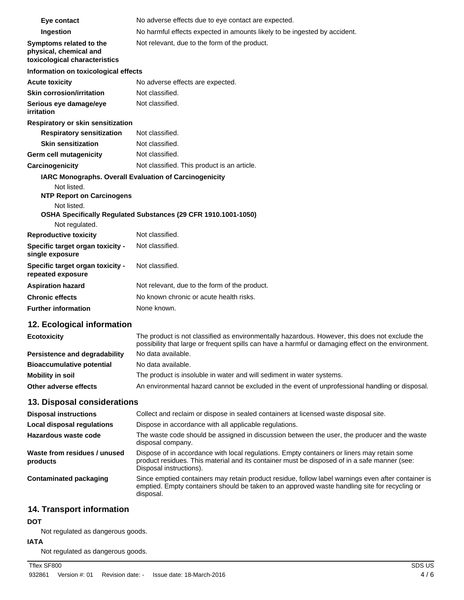| Eye contact                                                                                               | No adverse effects due to eye contact are expected.                                                                                                                                                                    |  |  |
|-----------------------------------------------------------------------------------------------------------|------------------------------------------------------------------------------------------------------------------------------------------------------------------------------------------------------------------------|--|--|
| Ingestion                                                                                                 | No harmful effects expected in amounts likely to be ingested by accident.                                                                                                                                              |  |  |
| Symptoms related to the<br>physical, chemical and<br>toxicological characteristics                        | Not relevant, due to the form of the product.                                                                                                                                                                          |  |  |
| Information on toxicological effects                                                                      |                                                                                                                                                                                                                        |  |  |
| <b>Acute toxicity</b>                                                                                     | No adverse effects are expected.                                                                                                                                                                                       |  |  |
| <b>Skin corrosion/irritation</b>                                                                          | Not classified.                                                                                                                                                                                                        |  |  |
| Serious eye damage/eye<br>irritation                                                                      | Not classified.                                                                                                                                                                                                        |  |  |
| Respiratory or skin sensitization                                                                         |                                                                                                                                                                                                                        |  |  |
| <b>Respiratory sensitization</b>                                                                          | Not classified.                                                                                                                                                                                                        |  |  |
| <b>Skin sensitization</b>                                                                                 | Not classified.                                                                                                                                                                                                        |  |  |
| Germ cell mutagenicity                                                                                    | Not classified.                                                                                                                                                                                                        |  |  |
| Carcinogenicity                                                                                           | Not classified. This product is an article.                                                                                                                                                                            |  |  |
| IARC Monographs. Overall Evaluation of Carcinogenicity<br>Not listed.<br><b>NTP Report on Carcinogens</b> |                                                                                                                                                                                                                        |  |  |
| Not listed.                                                                                               | OSHA Specifically Regulated Substances (29 CFR 1910.1001-1050)                                                                                                                                                         |  |  |
| Not regulated.<br><b>Reproductive toxicity</b>                                                            | Not classified.                                                                                                                                                                                                        |  |  |
| Specific target organ toxicity -<br>single exposure                                                       | Not classified.                                                                                                                                                                                                        |  |  |
| Specific target organ toxicity -<br>repeated exposure                                                     | Not classified.                                                                                                                                                                                                        |  |  |
| <b>Aspiration hazard</b>                                                                                  | Not relevant, due to the form of the product.                                                                                                                                                                          |  |  |
| <b>Chronic effects</b>                                                                                    | No known chronic or acute health risks.                                                                                                                                                                                |  |  |
| <b>Further information</b>                                                                                | None known.                                                                                                                                                                                                            |  |  |
| 12. Ecological information                                                                                |                                                                                                                                                                                                                        |  |  |
| <b>Ecotoxicity</b>                                                                                        | The product is not classified as environmentally hazardous. However, this does not exclude the<br>possibility that large or frequent spills can have a harmful or damaging effect on the environment.                  |  |  |
| <b>Persistence and degradability</b>                                                                      | No data available.                                                                                                                                                                                                     |  |  |
| <b>Bioaccumulative potential</b>                                                                          | No data available.                                                                                                                                                                                                     |  |  |
| <b>Mobility in soil</b>                                                                                   | The product is insoluble in water and will sediment in water systems.                                                                                                                                                  |  |  |
| Other adverse effects                                                                                     | An environmental hazard cannot be excluded in the event of unprofessional handling or disposal.                                                                                                                        |  |  |
| 13. Disposal considerations                                                                               |                                                                                                                                                                                                                        |  |  |
| <b>Disposal instructions</b>                                                                              | Collect and reclaim or dispose in sealed containers at licensed waste disposal site.                                                                                                                                   |  |  |
| Local disposal regulations                                                                                | Dispose in accordance with all applicable regulations.                                                                                                                                                                 |  |  |
| Hazardous waste code                                                                                      | The waste code should be assigned in discussion between the user, the producer and the waste<br>disposal company.                                                                                                      |  |  |
| Waste from residues / unused<br>products                                                                  | Dispose of in accordance with local regulations. Empty containers or liners may retain some<br>product residues. This material and its container must be disposed of in a safe manner (see:<br>Disposal instructions). |  |  |
| <b>Contaminated packaging</b>                                                                             | Since emptied containers may retain product residue, follow label warnings even after container is<br>emptied. Empty containers should be taken to an approved waste handling site for recycling or<br>disposal.       |  |  |
| 14. Transport information<br><b>DOT</b>                                                                   |                                                                                                                                                                                                                        |  |  |

## Not regulated as dangerous goods.

## **IATA**

Not regulated as dangerous goods.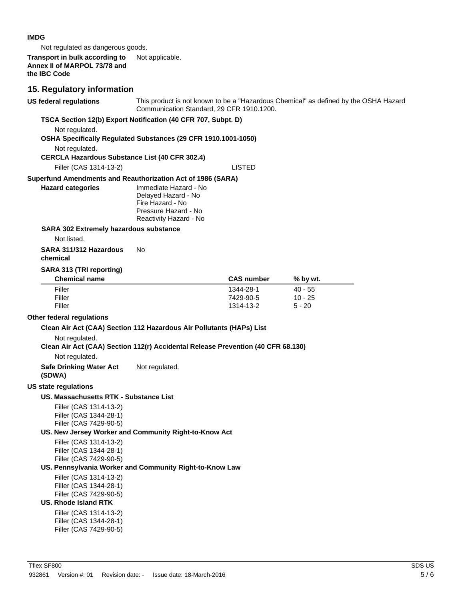#### **IMDG**

Not regulated as dangerous goods.

#### **Transport in bulk according to** Not applicable. **Annex II of MARPOL 73/78 and the IBC Code**

## **15. Regulatory information**

| US federal regulations                                                                             | Communication Standard, 29 CFR 1910.1200.                                                                          |                        | This product is not known to be a "Hazardous Chemical" as defined by the OSHA Hazard |
|----------------------------------------------------------------------------------------------------|--------------------------------------------------------------------------------------------------------------------|------------------------|--------------------------------------------------------------------------------------|
| TSCA Section 12(b) Export Notification (40 CFR 707, Subpt. D)                                      |                                                                                                                    |                        |                                                                                      |
| Not regulated.<br>OSHA Specifically Regulated Substances (29 CFR 1910.1001-1050)                   |                                                                                                                    |                        |                                                                                      |
| Not regulated.<br><b>CERCLA Hazardous Substance List (40 CFR 302.4)</b>                            |                                                                                                                    |                        |                                                                                      |
| Filler (CAS 1314-13-2)                                                                             |                                                                                                                    | <b>LISTED</b>          |                                                                                      |
| Superfund Amendments and Reauthorization Act of 1986 (SARA)                                        |                                                                                                                    |                        |                                                                                      |
| <b>Hazard categories</b>                                                                           | Immediate Hazard - No<br>Delayed Hazard - No<br>Fire Hazard - No<br>Pressure Hazard - No<br>Reactivity Hazard - No |                        |                                                                                      |
| <b>SARA 302 Extremely hazardous substance</b>                                                      |                                                                                                                    |                        |                                                                                      |
| Not listed.                                                                                        |                                                                                                                    |                        |                                                                                      |
| SARA 311/312 Hazardous<br>chemical                                                                 | No                                                                                                                 |                        |                                                                                      |
| <b>SARA 313 (TRI reporting)</b>                                                                    |                                                                                                                    |                        |                                                                                      |
| <b>Chemical name</b>                                                                               |                                                                                                                    | <b>CAS number</b>      | % by wt.                                                                             |
| Filler                                                                                             |                                                                                                                    | 1344-28-1              | $40 - 55$                                                                            |
| Filler<br>Filler                                                                                   |                                                                                                                    | 7429-90-5<br>1314-13-2 | $10 - 25$<br>$5 - 20$                                                                |
|                                                                                                    |                                                                                                                    |                        |                                                                                      |
| Other federal regulations                                                                          |                                                                                                                    |                        |                                                                                      |
| Clean Air Act (CAA) Section 112 Hazardous Air Pollutants (HAPs) List                               |                                                                                                                    |                        |                                                                                      |
| Not regulated.<br>Clean Air Act (CAA) Section 112(r) Accidental Release Prevention (40 CFR 68.130) |                                                                                                                    |                        |                                                                                      |
| Not regulated.                                                                                     |                                                                                                                    |                        |                                                                                      |
| <b>Safe Drinking Water Act</b>                                                                     | Not regulated.                                                                                                     |                        |                                                                                      |
| (SDWA)                                                                                             |                                                                                                                    |                        |                                                                                      |
| <b>US state regulations</b>                                                                        |                                                                                                                    |                        |                                                                                      |
| US. Massachusetts RTK - Substance List                                                             |                                                                                                                    |                        |                                                                                      |
| Filler (CAS 1314-13-2)<br>Filler (CAS 1344-28-1)<br>Filler (CAS 7429-90-5)                         |                                                                                                                    |                        |                                                                                      |
| US. New Jersey Worker and Community Right-to-Know Act                                              |                                                                                                                    |                        |                                                                                      |
| Filler (CAS 1314-13-2)<br>Filler (CAS 1344-28-1)<br>Filler (CAS 7429-90-5)                         |                                                                                                                    |                        |                                                                                      |
| US. Pennsylvania Worker and Community Right-to-Know Law                                            |                                                                                                                    |                        |                                                                                      |
| Filler (CAS 1314-13-2)                                                                             |                                                                                                                    |                        |                                                                                      |
| Filler (CAS 1344-28-1)                                                                             |                                                                                                                    |                        |                                                                                      |
| Filler (CAS 7429-90-5)                                                                             |                                                                                                                    |                        |                                                                                      |
| <b>US. Rhode Island RTK</b>                                                                        |                                                                                                                    |                        |                                                                                      |
| Filler (CAS 1314-13-2)                                                                             |                                                                                                                    |                        |                                                                                      |
|                                                                                                    |                                                                                                                    |                        |                                                                                      |
| Filler (CAS 1344-28-1)<br>Filler (CAS 7429-90-5)                                                   |                                                                                                                    |                        |                                                                                      |